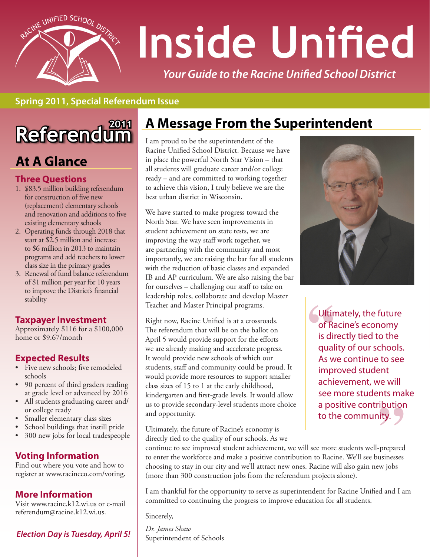

# **Inside Unified**

*Your Guide to the Racine Unified School District*

#### **Spring 2011, Special Referendum Issue**

# **Referendum**

## **At A Glance**

#### **Three Questions**

- 1. \$83.5 million building referendum for construction of five new (replacement) elementary schools and renovation and additions to five existing elementary schools
- 2. Operating funds through 2018 that start at \$2.5 million and increase to \$6 million in 2013 to maintain programs and add teachers to lower class size in the primary grades
- 3. Renewal of fund balance referendum of \$1 million per year for 10 years to improve the District's financial stability

#### **Taxpayer Investment**

Approximately \$116 for a \$100,000 home or \$9.67/month

#### **Expected Results**

- Five new schools; five remodeled schools
- • 90 percent of third graders reading at grade level or advanced by 2016
- • All students graduating career and/ or college ready
- • Smaller elementary class sizes
- School buildings that instill pride
- 300 new jobs for local tradespeople

#### **Voting Information**

Find out where you vote and how to register at www.racineco.com/voting.

#### **More Information**

Visit www.racine.k12.wi.us or e-mail referendum@racine.k12.wi.us.

#### *Election Day is Tuesday, April 5!*

## **A Message From the Superintendent**

I am proud to be the superintendent of the Racine Unified School District. Because we have in place the powerful North Star Vision – that all students will graduate career and/or college ready – and are committed to working together to achieve this vision, I truly believe we are the best urban district in Wisconsin.

We have started to make progress toward the North Star. We have seen improvements in student achievement on state tests, we are improving the way staff work together, we are partnering with the community and most importantly, we are raising the bar for all students with the reduction of basic classes and expanded IB and AP curriculum. We are also raising the bar for ourselves – challenging our staff to take on leadership roles, collaborate and develop Master Teacher and Master Principal programs.

Right now, Racine Unified is at a crossroads. The referendum that will be on the ballot on April 5 would provide support for the efforts we are already making and accelerate progress. It would provide new schools of which our students, staff and community could be proud. It would provide more resources to support smaller class sizes of 15 to 1 at the early childhood, kindergarten and first-grade levels. It would allow us to provide secondary-level students more choice and opportunity.

Ultimately, the future of Racine's economy is directly tied to the quality of our schools. As we



Ultin<br>
of R<br>
is di<br>
qua Ultimately, the future of Racine's economy is directly tied to the quality of our schools. As we continue to see improved student achievement, we will see more students make a positive contribution

The continue of the continue of the community.<br>
Ultimately, the future of Racine's economy is<br>
directly tied to the quality of our schools. As we<br>
continue to see improved student achievement, we will see more students wel to enter the workforce and make a positive contribution to Racine. We'll see businesses choosing to stay in our city and we'll attract new ones. Racine will also gain new jobs (more than 300 construction jobs from the referendum projects alone).

I am thankful for the opportunity to serve as superintendent for Racine Unified and I am committed to continuing the progress to improve education for all students.

Sincerely,

*Dr. James Shaw* Superintendent of Schools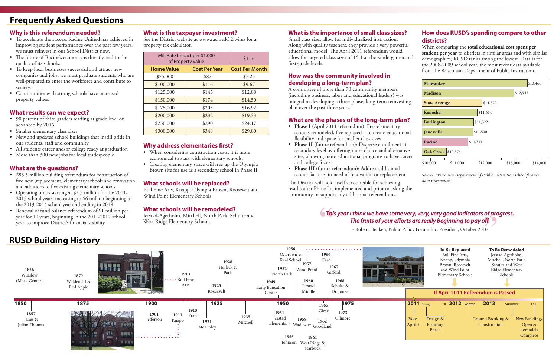

- To accelerate the success Racine Unified has achieved in improving student performance over the past few years, we must reinvest in our School District now.
- The future of Racine's economy is directly tied to the quality of its schools.
- To keep local businesses successful and attract new companies and jobs, we must graduate students who are well-prepared to enter the workforce and contribute to society.
- • Communities with strong schools have increased property values.

#### **Why is this referendum needed?**

- \$83.5 million building referendum for construction of five new (replacement) elementary schools and renovation and additions to five existing elementary schools
- Operating funds starting at \$2.5 million for the 2011-2013 school years, increasing to \$6 million beginning in the 2013-2014 school year and ending in 2018
- Renewal of fund balance referendum of \$1 million per year for 10 years, beginning in the 2011-2012 school year, to improve District's financial stability

#### **What results can we expect?**

- 90 percent of third graders reading at grade level or advanced by 2016
- • Smaller elementary class sizes
- • New and updated school buildings that instill pride in our students, staff and community
- All students career and/or college ready at graduation
- More than 300 new jobs for local tradespeople
- When considering construction costs, it is more economical to start with elementary schools.
- Creating elementary space will free up the Olympia Brown site for use as a secondary school in Phase II.

#### **What are the questions?**

- Phase I (April 2011 referendum): Five elementary schools remodeled, five replaced – to create educational flexibility and space for smaller class sizes
- **• Phase II** (future referendum): Disperse enrollment at secondary level by offering more choice and alternative sites, allowing more educational programs to have career and college focus
- • **Phase III** (future referendum): Address additional school facilities in need of renovation or replacement

#### **What is the taxpayer investment?**

See the District website at www.racine.k12.wi.us for a property tax calculator.

#### **Why address elementaries first?**

#### **What schools will be replaced?**

Bull Fine Arts, Knapp, Olympia Brown, Roosevelt and Wind Point Elementary Schools

#### **What schools will be remodeled?**

Jerstad-Agerholm, Mitchell, North Park, Schulte and West Ridge Elementary Schools

## **Frequently Asked Questions**

#### **What is the importance of small class sizes?**

#### **How was the community involved in developing a long-term plan?**

A committee of more than 70 community members (including business, labor and educational leaders) was integral in developing a three-phase, long-term reinvesting plan over the past three years.

#### **What are the phases of the long-term plan?**

Small class sizes allow for individualized instruction. Along with quality teachers, they provide a very powerful educational model. The April 2011 referendum would allow for targeted class sizes of 15:1 at the kindergarten and first-grade levels. **districts?** When comparing the **total educational cost spent per student per year** to districts in similar areas and with similar demographics, RUSD ranks among the lowest. Data is for the 2008-2009 school year, the most recent data available from the Wisconsin Department of Public Instruction.

The District will hold itself accountable for achieving results after Phase I is implemented and prior to asking the community to support any additional referendums.

## **How does RUSD's spending compare to other**

| Mill Rate Impact per \$1,000<br>of Property Value |                      | \$1.16                |
|---------------------------------------------------|----------------------|-----------------------|
| <b>Home Value</b>                                 | <b>Cost Per Year</b> | <b>Cost Per Month</b> |
| \$75,000                                          | \$87                 | \$7.25                |
| \$100,000                                         | \$116                | \$9.67                |
| \$125,000                                         | \$145                | \$12.08               |
| \$150,000                                         | \$174                | \$14.50               |
| \$175,000                                         | \$203                | \$16.92               |
| \$200,000                                         | \$232                | \$19.33               |
| \$250,000                                         | \$290                | \$24.17               |
| \$300,000                                         | \$348                | \$29.00               |

## **RUSD Building History**

## *This year I think we have some very, very, very good indicators of progress.*  **The fruits of your efforts are really beginning to pay off.<br>
<b>The fruits of your efforts are really beginning to pay off.**<br> **Probert Henken, Public Policy Forum Inc. President, October 2010 "**

- Robert Henken, Public Policy Forum Inc. President, October 2010



*Source: Wisconsin Department of Public Instruction school finance data warehouse*